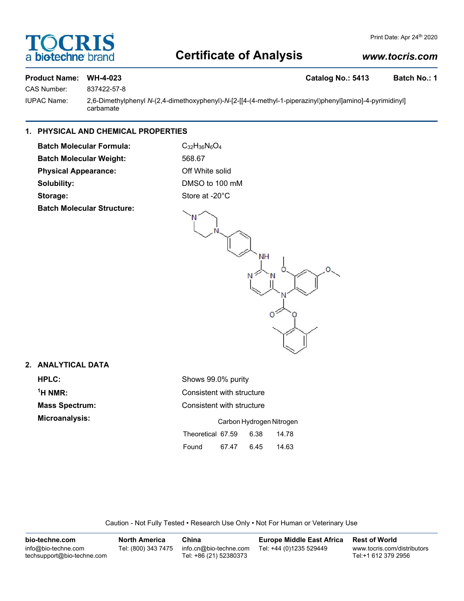## **DCRI bio-techne**

## **Certificate of Analysis**

#### *www.tocris.com*

#### **Product Name: WH-4-023 Catalog No.: 5413 Batch No.: 1**

CAS Number: 837422-57-8 IUPAC Name: 2,6-Dimethylphenyl *N*-(2,4-dimethoxyphenyl)-*N*-[2-[[4-(4-methyl-1-piperazinyl)phenyl]amino]-4-pyrimidinyl]

carbamate

### **1. PHYSICAL AND CHEMICAL PROPERTIES**

**Batch Molecular Formula:** C<sub>32</sub>H<sub>36</sub>N<sub>6</sub>O<sub>4</sub> Batch Molecular Weight: 568.67 **Physical Appearance:** Off White solid **Solubility:** DMSO to 100 mM Storage: Store at -20°C

**Batch Molecular Structure:**



#### **2. ANALYTICAL DATA**

<sup>1</sup>H NMR:

**HPLC:** Shows 99.0% purity **Consistent with structure Mass Spectrum:** Consistent with structure **Microanalysis:** Carbon Hydrogen Nitrogen Theoretical 67.59 6.38 14.78 Found 67.47 6.45 14.63

Caution - Not Fully Tested • Research Use Only • Not For Human or Veterinary Use

| bio-techne.com                                    | <b>North America</b> | China                                            | <b>Europe Middle East Africa</b> | <b>Rest of World</b>                               |
|---------------------------------------------------|----------------------|--------------------------------------------------|----------------------------------|----------------------------------------------------|
| info@bio-techne.com<br>techsupport@bio-techne.com | Tel: (800) 343 7475  | info.cn@bio-techne.com<br>Tel: +86 (21) 52380373 | Tel: +44 (0)1235 529449          | www.tocris.com/distributors<br>Tel:+1 612 379 2956 |